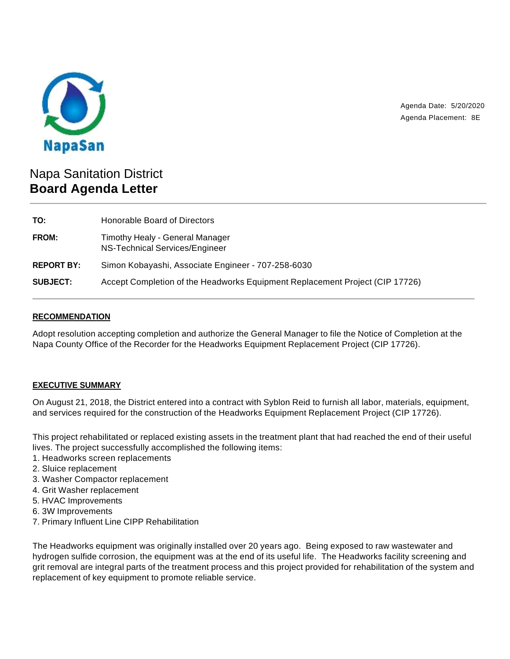

Agenda Date: 5/20/2020 Agenda Placement: 8E

# Napa Sanitation District **Board Agenda Letter**

| TO:               | Honorable Board of Directors                                                 |
|-------------------|------------------------------------------------------------------------------|
| <b>FROM:</b>      | Timothy Healy - General Manager<br>NS-Technical Services/Engineer            |
| <b>REPORT BY:</b> | Simon Kobayashi, Associate Engineer - 707-258-6030                           |
| <b>SUBJECT:</b>   | Accept Completion of the Headworks Equipment Replacement Project (CIP 17726) |

## **RECOMMENDATION**

Adopt resolution accepting completion and authorize the General Manager to file the Notice of Completion at the Napa County Office of the Recorder for the Headworks Equipment Replacement Project (CIP 17726).

# **EXECUTIVE SUMMARY**

On August 21, 2018, the District entered into a contract with Syblon Reid to furnish all labor, materials, equipment, and services required for the construction of the Headworks Equipment Replacement Project (CIP 17726).

This project rehabilitated or replaced existing assets in the treatment plant that had reached the end of their useful lives. The project successfully accomplished the following items:

- 1. Headworks screen replacements
- 2. Sluice replacement
- 3. Washer Compactor replacement
- 4. Grit Washer replacement
- 5. HVAC Improvements
- 6. 3W Improvements
- 7. Primary Influent Line CIPP Rehabilitation

The Headworks equipment was originally installed over 20 years ago. Being exposed to raw wastewater and hydrogen sulfide corrosion, the equipment was at the end of its useful life. The Headworks facility screening and grit removal are integral parts of the treatment process and this project provided for rehabilitation of the system and replacement of key equipment to promote reliable service.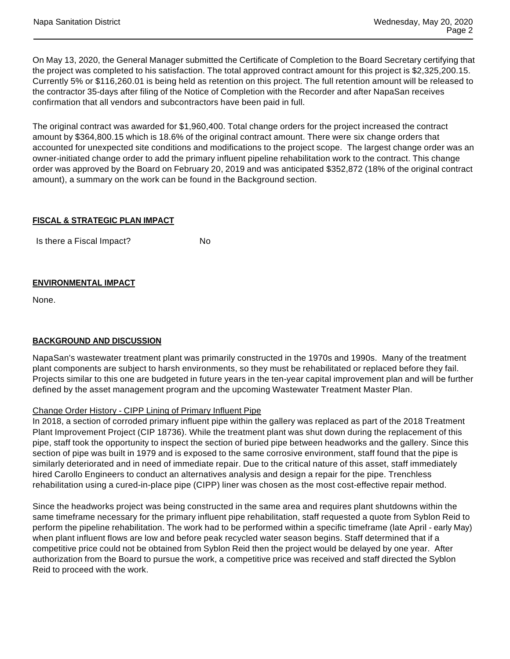On May 13, 2020, the General Manager submitted the Certificate of Completion to the Board Secretary certifying that the project was completed to his satisfaction. The total approved contract amount for this project is \$2,325,200.15. Currently 5% or \$116,260.01 is being held as retention on this project. The full retention amount will be released to the contractor 35-days after filing of the Notice of Completion with the Recorder and after NapaSan receives confirmation that all vendors and subcontractors have been paid in full.

The original contract was awarded for \$1,960,400. Total change orders for the project increased the contract amount by \$364,800.15 which is 18.6% of the original contract amount. There were six change orders that accounted for unexpected site conditions and modifications to the project scope. The largest change order was an owner-initiated change order to add the primary influent pipeline rehabilitation work to the contract. This change order was approved by the Board on February 20, 2019 and was anticipated \$352,872 (18% of the original contract amount), a summary on the work can be found in the Background section.

## **FISCAL & STRATEGIC PLAN IMPACT**

Is there a Fiscal Impact? No

#### **ENVIRONMENTAL IMPACT**

None.

# **BACKGROUND AND DISCUSSION**

NapaSan's wastewater treatment plant was primarily constructed in the 1970s and 1990s. Many of the treatment plant components are subject to harsh environments, so they must be rehabilitated or replaced before they fail. Projects similar to this one are budgeted in future years in the ten-year capital improvement plan and will be further defined by the asset management program and the upcoming Wastewater Treatment Master Plan.

#### Change Order History - CIPP Lining of Primary Influent Pipe

In 2018, a section of corroded primary influent pipe within the gallery was replaced as part of the 2018 Treatment Plant Improvement Project (CIP 18736). While the treatment plant was shut down during the replacement of this pipe, staff took the opportunity to inspect the section of buried pipe between headworks and the gallery. Since this section of pipe was built in 1979 and is exposed to the same corrosive environment, staff found that the pipe is similarly deteriorated and in need of immediate repair. Due to the critical nature of this asset, staff immediately hired Carollo Engineers to conduct an alternatives analysis and design a repair for the pipe. Trenchless rehabilitation using a cured-in-place pipe (CIPP) liner was chosen as the most cost-effective repair method.

Since the headworks project was being constructed in the same area and requires plant shutdowns within the same timeframe necessary for the primary influent pipe rehabilitation, staff requested a quote from Syblon Reid to perform the pipeline rehabilitation. The work had to be performed within a specific timeframe (late April - early May) when plant influent flows are low and before peak recycled water season begins. Staff determined that if a competitive price could not be obtained from Syblon Reid then the project would be delayed by one year. After authorization from the Board to pursue the work, a competitive price was received and staff directed the Syblon Reid to proceed with the work.